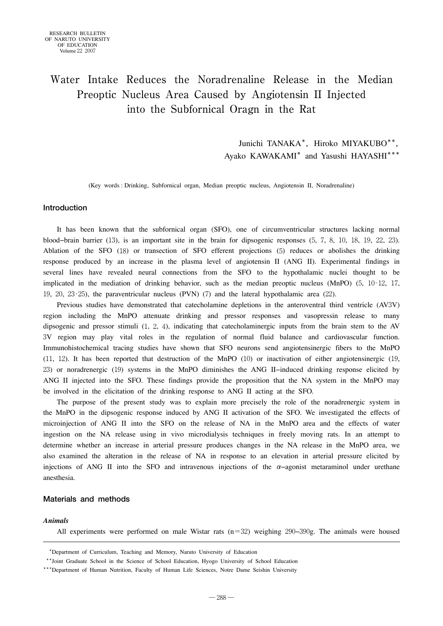# Water Intake Reduces the Noradrenaline Release in the Median Preoptic Nucleus Area Caused by Angiotensin II Injected into the Subfornical Oragn in the Rat

Junichi TANAKA\*, Hiroko MIYAKUBO\*\*, Ayako KAWAKAMI\* and Yasushi HAYASHI\*\*\*

(Key words : Drinking, Subfornical organ, Median preoptic nucleus, Angiotensin II, Noradrenaline)

# **Introduction**

It has been known that the subfornical organ (SFO), one of circumventricular structures lacking normal blood−brain barrier (13), is an important site in the brain for dipsogenic responses (5, 7, 8, 10, 18, 19, 22, 23). Ablation of the SFO (18) or transection of SFO efferent projections (5) reduces or abolishes the drinking response produced by an increase in the plasma level of angiotensin II (ANG II). Experimental findings in several lines have revealed neural connections from the SFO to the hypothalamic nuclei thought to be implicated in the mediation of drinking behavior, such as the median preoptic nucleus (MnPO) (5, 10‐12, 17, 19, 20, 23‐25), the paraventricular nucleus (PVN) (7) and the lateral hypothalamic area (22).

Previous studies have demonstrated that catecholamine depletions in the anteroventral third ventricle (AV3V) region including the MnPO attenuate drinking and pressor responses and vasopressin release to many dipsogenic and pressor stimuli (1, 2, 4), indicating that catecholaminergic inputs from the brain stem to the AV 3V region may play vital roles in the regulation of normal fluid balance and cardiovascular function. Immunohistochemical tracing studies have shown that SFO neurons send angiotensinergic fibers to the MnPO (11, 12). It has been reported that destruction of the MnPO (10) or inactivation of either angiotensinergic (19, 23) or noradrenergic (19) systems in the MnPO diminishes the ANG II−induced drinking response elicited by ANG II injected into the SFO. These findings provide the proposition that the NA system in the MnPO may be involved in the elicitation of the drinking response to ANG II acting at the SFO.

The purpose of the present study was to explain more precisely the role of the noradrenergic system in the MnPO in the dipsogenic response induced by ANG II activation of the SFO. We investigated the effects of microinjection of ANG II into the SFO on the release of NA in the MnPO area and the effects of water ingestion on the NA release using in vivo microdialysis techniques in freely moving rats. In an attempt to determine whether an increase in arterial pressure produces changes in the NA release in the MnPO area, we also examined the alteration in the release of NA in response to an elevation in arterial pressure elicited by injections of ANG II into the SFO and intravenous injections of the  $\alpha$ -agonist metaraminol under urethane anesthesia.

## **Materials and methods**

## *Animals*

All experiments were performed on male Wistar rats (n=32) weighing 290−390g. The animals were housed

<sup>\*\*\*</sup>Department of Curriculum, Teaching and Memory, Naruto University of Education

<sup>\*\*\*</sup>Joint Graduate School in the Science of School Education, Hyogo University of School Education

<sup>\*\*\*</sup>Department of Human Nutrition, Faculty of Human Life Sciences, Notre Dame Seishin University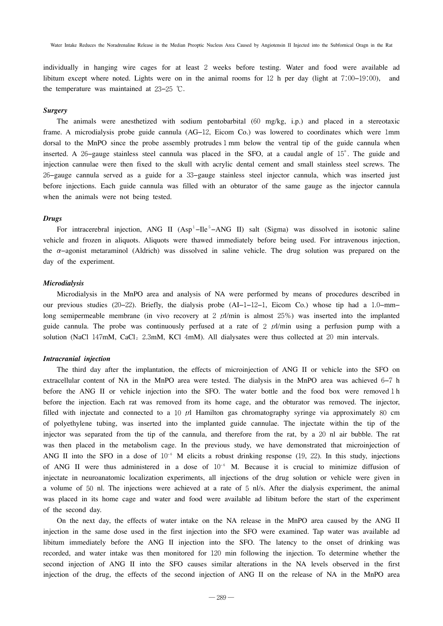individually in hanging wire cages for at least 2 weeks before testing. Water and food were available ad libitum except where noted. Lights were on in the animal rooms for 12 h per day (light at 7:00−19:00), and the temperature was maintained at 23−25 ℃.

## *Surgery*

The animals were anesthetized with sodium pentobarbital (60 mg/kg, i.p.) and placed in a stereotaxic frame. A microdialysis probe guide cannula (AG−12, Eicom Co.) was lowered to coordinates which were 1mm dorsal to the MnPO since the probe assembly protrudes 1 mm below the ventral tip of the guide cannula when inserted. A 26−gauge stainless steel cannula was placed in the SFO, at a caudal angle of 15°. The guide and injection cannulae were then fixed to the skull with acrylic dental cement and small stainless steel screws. The 26−gauge cannula served as a guide for a 33−gauge stainless steel injector cannula, which was inserted just before injections. Each guide cannula was filled with an obturator of the same gauge as the injector cannula when the animals were not being tested.

#### *Drugs*

For intracerebral injection, ANG II (Asp<sup>1</sup>–Ile<sup>5</sup>–ANG II) salt (Sigma) was dissolved in isotonic saline vehicle and frozen in aliquots. Aliquots were thawed immediately before being used. For intravenous injection, the α−agonist metaraminol (Aldrich) was dissolved in saline vehicle. The drug solution was prepared on the day of the experiment.

### *Microdialysis*

Microdialysis in the MnPO area and analysis of NA were performed by means of procedures described in our previous studies (20−22). Briefly, the dialysis probe (AI−1−12−1, Eicom Co.) whose tip had a 1.0−mm− long semipermeable membrane (in vivo recovery at 2  $\mu$ l/min is almost 25%) was inserted into the implanted guide cannula. The probe was continuously perfused at a rate of 2  $\mu$ /min using a perfusion pump with a solution (NaCl  $147 \text{mM}$ , CaCl<sub>2</sub>  $2.3 \text{mM}$ , KCl  $4 \text{mM}$ ). All dialysates were thus collected at 20 min intervals.

### *Intracranial injection*

The third day after the implantation, the effects of microinjection of ANG II or vehicle into the SFO on extracellular content of NA in the MnPO area were tested. The dialysis in the MnPO area was achieved 6−7 h before the ANG II or vehicle injection into the SFO. The water bottle and the food box were removed 1 h before the injection. Each rat was removed from its home cage, and the obturator was removed. The injector, filled with injectate and connected to a 10  $\mu$ l Hamilton gas chromatography syringe via approximately 80 cm of polyethylene tubing, was inserted into the implanted guide cannulae. The injectate within the tip of the injector was separated from the tip of the cannula, and therefore from the rat, by a 20 nl air bubble. The rat was then placed in the metabolism cage. In the previous study, we have demonstrated that microinjection of ANG II into the SFO in a dose of  $10^{-6}$  M elicits a robust drinking response (19, 22). In this study, injections of ANG II were thus administered in a dose of 10<sup>−</sup><sup>6</sup> M. Because it is crucial to minimize diffusion of injectate in neuroanatomic localization experiments, all injections of the drug solution or vehicle were given in a volume of 50 nl. The injections were achieved at a rate of 5 nl/s. After the dialysis experiment, the animal was placed in its home cage and water and food were available ad libitum before the start of the experiment of the second day.

On the next day, the effects of water intake on the NA release in the MnPO area caused by the ANG II injection in the same dose used in the first injection into the SFO were examined. Tap water was available ad libitum immediately before the ANG II injection into the SFO. The latency to the onset of drinking was recorded, and water intake was then monitored for 120 min following the injection. To determine whether the second injection of ANG II into the SFO causes similar alterations in the NA levels observed in the first injection of the drug, the effects of the second injection of ANG II on the release of NA in the MnPO area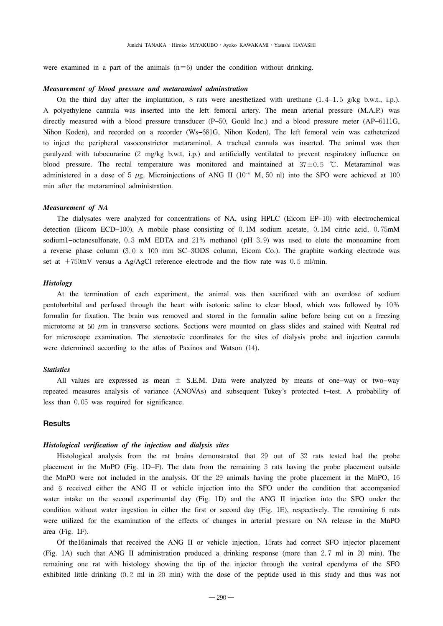were examined in a part of the animals  $(n=6)$  under the condition without drinking.

#### *Measurement of blood pressure and metaraminol adminstration*

On the third day after the implantation, 8 rats were anesthetized with urethane  $(1.4-1.5 \text{ g/kg b.w.t., i.p.).}$ A polyethylene cannula was inserted into the left femoral artery. The mean arterial pressure (M.A.P.) was directly measured with a blood pressure transducer (P−50, Gould Inc.) and a blood pressure meter (AP−6111G, Nihon Koden), and recorded on a recorder (Ws−681G, Nihon Koden). The left femoral vein was catheterized to inject the peripheral vasoconstrictor metaraminol. A tracheal cannula was inserted. The animal was then paralyzed with tubocurarine (2 mg/kg b.w.t, i.p.) and artificially ventilated to prevent respiratory influence on blood pressure. The rectal temperature was monitored and maintained at  $37\pm0.5$  °C. Metaraminol was administered in a dose of 5  $\mu$ g. Microinjections of ANG II (10<sup>-6</sup> M, 50 nl) into the SFO were achieved at 100 min after the metaraminol administration.

### *Measurement of NA*

The dialysates were analyzed for concentrations of NA, using HPLC (Eicom EP−10) with electrochemical detection (Eicom ECD−100). A mobile phase consisting of 0.1M sodium acetate, 0.1M citric acid, 0.75mM sodium1−octanesulfonate, 0.3 mM EDTA and 21% methanol (pH 3.9) was used to elute the monoamine from a reverse phase column (3.0 x 100 mm SC−3ODS column, Eicom Co.). The graphite working electrode was set at  $+750$ mV versus a Ag/AgCl reference electrode and the flow rate was 0.5 ml/min.

#### *Histology*

At the termination of each experiment, the animal was then sacrificed with an overdose of sodium pentobarbital and perfused through the heart with isotonic saline to clear blood, which was followed by 10% formalin for fixation. The brain was removed and stored in the formalin saline before being cut on a freezing microtome at 50  $\mu$ m in transverse sections. Sections were mounted on glass slides and stained with Neutral red for microscope examination. The stereotaxic coordinates for the sites of dialysis probe and injection cannula were determined according to the atlas of Paxinos and Watson (14).

## *Statistics*

All values are expressed as mean ± S.E.M. Data were analyzed by means of one−way or two−way repeated measures analysis of variance (ANOVAs) and subsequent Tukey's protected t−test. A probability of less than 0.05 was required for significance.

## **Results**

### *Histological verification of the injection and dialysis sites*

Histological analysis from the rat brains demonstrated that 29 out of 32 rats tested had the probe placement in the MnPO (Fig. 1D−F). The data from the remaining 3 rats having the probe placement outside the MnPO were not included in the analysis. Of the 29 animals having the probe placement in the MnPO, 16 and 6 received either the ANG II or vehicle injection into the SFO under the condition that accompanied water intake on the second experimental day (Fig. 1D) and the ANG II injection into the SFO under the condition without water ingestion in either the first or second day (Fig. 1E), respectively. The remaining 6 rats were utilized for the examination of the effects of changes in arterial pressure on NA release in the MnPO area (Fig. 1F).

Of the16animals that received the ANG II or vehicle injection,15rats had correct SFO injector placement (Fig. 1A) such that ANG II administration produced a drinking response (more than 2.7 ml in 20 min). The remaining one rat with histology showing the tip of the injector through the ventral ependyma of the SFO exhibited little drinking (0.2 ml in 20 min) with the dose of the peptide used in this study and thus was not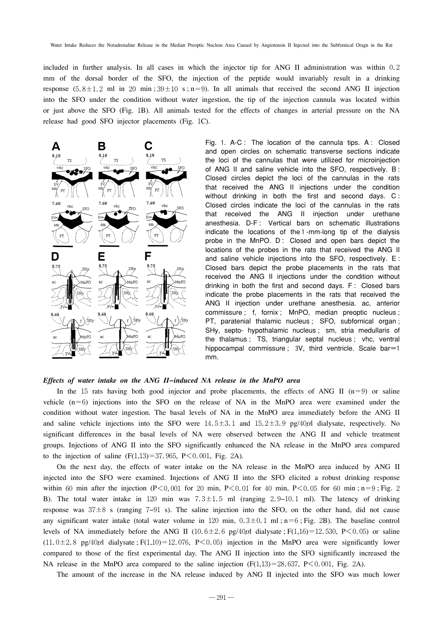included in further analysis. In all cases in which the injector tip for ANG II administration was within 0.2 mm of the dorsal border of the SFO, the injection of the peptide would invariably result in a drinking response  $(5.8 \pm 1.2 \text{ ml in } 20 \text{ min}; 39 \pm 10 \text{ s}; n=9)$ . In all animals that received the second ANG II injection into the SFO under the condition without water ingestion, the tip of the injection cannula was located within or just above the SFO (Fig. 1B). All animals tested for the effects of changes in arterial pressure on the NA release had good SFO injector placements (Fig. 1C).



Fig. 1. A-C : The location of the cannula tips. A : Closed and open circles on schematic transverse sections indicate the loci of the cannulas that were utilized for microinjection of ANG II and saline vehicle into the SFO, respectively. B : Closed circles depict the loci of the cannulas in the rats that received the ANG II injections under the condition without drinking in both the first and second days. C : Closed circles indicate the loci of the cannulas in the rats that received the ANG II injection under urethane anesthesia. D-F : Vertical bars on schematic illustrations indicate the locations of the1-mm-long tip of the dialysis probe in the MnPO. D: Closed and open bars depict the locations of the probes in the rats that received the ANG II and saline vehicle injections into the SFO, respectively. E : Closed bars depict the probe placements in the rats that received the ANG II injections under the condition without drinking in both the first and second days. F: Closed bars indicate the probe placements in the rats that received the ANG II injection under urethane anesthesia. ac, anterior commissure ; f, fornix ; MnPO, median preoptic nucleus ; PT, paratenial thalamic nucleus ; SFO, subfornical organ ; SHy, septo- hypothalamic nucleus ; sm, stria medullaris of the thalamus ; TS, triangular septal nucleus ; vhc, ventral hippocampal commissure ;  $3V$ , third ventricle. Scale bar=1 mm.

# *Effects of water intake on the ANG II−induced NA release in the MnPO area*

In the 15 rats having both good injector and probe placements, the effects of ANG II  $(n=9)$  or saline vehicle  $(n=6)$  injections into the SFO on the release of NA in the MnPO area were examined under the condition without water ingestion. The basal levels of NA in the MnPO area immediately before the ANG II and saline vehicle injections into the SFO were  $14.5\pm3.1$  and  $15.2\pm3.9$  pg/40 $\mu$ l dialysate, respectively. No significant differences in the basal levels of NA were observed between the ANG II and vehicle treatment groups. Injections of ANG II into the SFO significantly enhanced the NA release in the MnPO area compared to the injection of saline  $(F(1,13)=37,965, P<0.001, Fig. 2A)$ .

On the next day, the effects of water intake on the NA release in the MnPO area induced by ANG II injected into the SFO were examined. Injections of ANG II into the SFO elicited a robust drinking response within 60 min after the injection  $(P<0.001$  for 20 min, P $< 0.01$  for 40 min, P $< 0.05$  for 60 min; n=9; Fig. 2 B). The total water intake in 120 min was 7.3±1.5 ml (ranging 2.9−10.1 ml). The latency of drinking response was 37±8 s (ranging 7−91 s). The saline injection into the SFO, on the other hand, did not cause any significant water intake (total water volume in 120 min,  $0.3 \pm 0.1$  ml;n=6; Fig. 2B). The baseline control levels of NA immediately before the ANG II  $(10.6 \pm 2.6 \text{ pg}/40 \mu l$  dialysate;  $F(1,16) = 12.530, P \le 0.05$  or saline  $(11.0\pm2.8 \text{ pg/40}\mu$ l dialysate ; F(1,10) = 12.076, P < 0.05) injection in the MnPO area were significantly lower compared to those of the first experimental day. The ANG II injection into the SFO significantly increased the NA release in the MnPO area compared to the saline injection  $(F(1,13)=28.637, P\leq 0.001, Fig. 2A)$ .

The amount of the increase in the NA release induced by ANG II injected into the SFO was much lower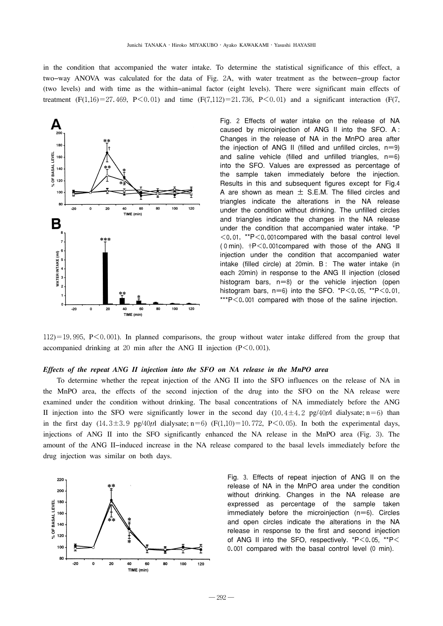in the condition that accompanied the water intake. To determine the statistical significance of this effect, a two−way ANOVA was calculated for the data of Fig. 2A, with water treatment as the between−group factor (two levels) and with time as the within−animal factor (eight levels). There were significant main effects of treatment  $(F(1,16)=27.469, P<0.01)$  and time  $(F(7,112)=21.736, P<0.01)$  and a significant interaction  $(F(7, 112)=21.736, P<0.01)$ 



Fig. 2 Effects of water intake on the release of NA caused by microinjection of ANG II into the SFO. A : Changes in the release of NA in the MnPO area after the injection of ANG II (filled and unfilled circles,  $n=9$ ) and saline vehicle (filled and unfilled triangles,  $n=6$ ) into the SFO. Values are expressed as percentage of the sample taken immediately before the injection. Results in this and subsequent figures except for Fig.4 A are shown as mean  $\pm$  S.E.M. The filled circles and triangles indicate the alterations in the NA release under the condition without drinking. The unfilled circles and triangles indicate the changes in the NA release under the condition that accompanied water intake. \*P  $<$  0.01, \*\*P $<$  0.001 compared with the basal control level (0min). †P<0.001compared with those of the ANG II injection under the condition that accompanied water intake (filled circle) at 20min. B: The water intake (in each 20min) in response to the ANG II injection (closed histogram bars,  $n=8$ ) or the vehicle injection (open histogram bars,  $n=6$ ) into the SFO.  $*P<0.05$ ,  $*P<0.01$ , \*\*\*P<0.001 compared with those of the saline injection.

 $112$ )=19.995, P $\leq$ 0.001). In planned comparisons, the group without water intake differed from the group that accompanied drinking at 20 min after the ANG II injection  $(P<0.001)$ .

## *Effects of the repeat ANG II injection into the SFO on NA release in the MnPO area*

To determine whether the repeat injection of the ANG II into the SFO influences on the release of NA in the MnPO area, the effects of the second injection of the drug into the SFO on the NA release were examined under the condition without drinking. The basal concentrations of NA immediately before the ANG II injection into the SFO were significantly lower in the second day  $(10.4 \pm 4.2 \text{ pg}/40\mu l$  dialysate; n=6) than in the first day  $(14.3\pm3.9 \text{ pg}/40\mu\text{I}$  dialysate; n=6)  $(F(1,10)=10.772, P<0.05)$ . In both the experimental days, injections of ANG II into the SFO significantly enhanced the NA release in the MnPO area (Fig. 3). The amount of the ANG II−induced increase in the NA release compared to the basal levels immediately before the drug injection was similar on both days.



Fig. 3. Effects of repeat injection of ANG II on the release of NA in the MnPO area under the condition without drinking. Changes in the NA release are expressed as percentage of the sample taken immediately before the microinjection  $(n=6)$ . Circles and open circles indicate the alterations in the NA release in response to the first and second injection of ANG II into the SFO, respectively. \*P<0.05, \*\*P< 0.001 compared with the basal control level (0 min).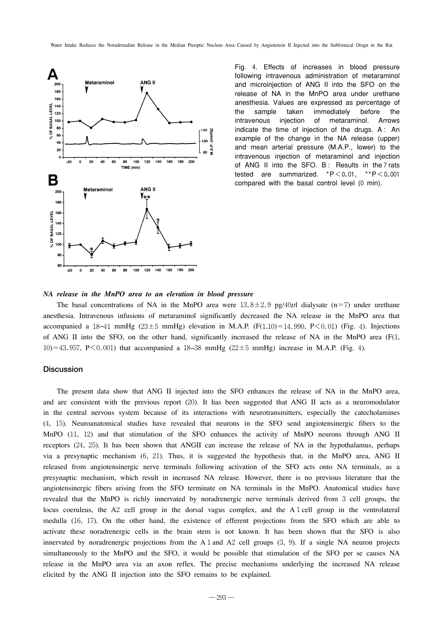

Fig. 4. Effects of increases in blood pressure following intravenous administration of metaraminol and microinjection of ANG II into the SFO on the release of NA in the MnPO area under urethane anesthesia. Values are expressed as percentage of the sample taken immediately before the intravenous injection of metaraminol. Arrows indicate the time of injection of the drugs. A : An example of the change in the NA release (upper) and mean arterial pressure (M.A.P., lower) to the intravenous injection of metaraminol and injection of ANG II into the SFO. B: Results in the 7 rats tested are summarized. \*P<0.01, \*\*P<0.001 compared with the basal control level (0 min).

#### *NA release in the MnPO area to an elevation in blood pressure*

The basal concentrations of NA in the MnPO area were  $13.8 \pm 2.9$  pg/40 $\mu$ l dialysate (n=7) under urethane anesthesia. Intravenous infusions of metaraminol significantly decreased the NA release in the MnPO area that accompanied a 18−41 mmHg (23±5 mmHg) elevation in M.A.P. (F(1,10)=14.990, P<0.01) (Fig. 4). Injections of ANG II into the SFO, on the other hand, significantly increased the release of NA in the MnPO area  $(F(1,$ 10)=43.957, P<0.001) that accompanied a 18−38 mmHg (22±5 mmHg) increase in M.A.P. (Fig. 4).

# **Discussion**

The present data show that ANG II injected into the SFO enhances the release of NA in the MnPO area, and are consistent with the previous report (20). It has been suggested that ANG II acts as a neuromodulator in the central nervous system because of its interactions with neurotransmitters, especially the catecholamines (4, 15). Neuroanatomical studies have revealed that neurons in the SFO send angiotensinergic fibers to the MnPO (11, 12) and that stimulation of the SFO enhances the activity of MnPO neurons through ANG II receptors (24, 25). It has been shown that ANGII can increase the release of NA in the hypothalamus, perhaps via a presynaptic mechanism (6, 21). Thus, it is suggested the hypothesis that, in the MnPO area, ANG II released from angiotensinergic nerve terminals following activation of the SFO acts onto NA terminals, as a presynaptic mechanism, which result in increased NA release. However, there is no previous literature that the angiotensinergic fibers arising from the SFO terminate on NA terminals in the MnPO. Anatomical studies have revealed that the MnPO is richly innervated by noradrenergic nerve terminals derived from 3 cell groups, the locus coeruleus, the A2 cell group in the dorsal vagus complex, and the A1cell group in the ventrolateral medulla (16, 17). On the other hand, the existence of efferent projections from the SFO which are able to activate these noradrenergic cells in the brain stem is not known. It has been shown that the SFO is also innervated by noradrenergic projections from the A1and A2 cell groups (3, 9). If a single NA neuron projects simultaneously to the MnPO and the SFO, it would be possible that stimulation of the SFO per se causes NA release in the MnPO area via an axon reflex. The precise mechanisms underlying the increased NA release elicited by the ANG II injection into the SFO remains to be explained.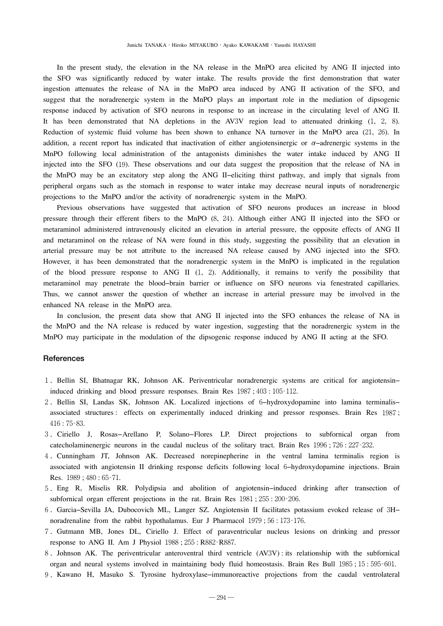In the present study, the elevation in the NA release in the MnPO area elicited by ANG II injected into the SFO was significantly reduced by water intake. The results provide the first demonstration that water ingestion attenuates the release of NA in the MnPO area induced by ANG II activation of the SFO, and suggest that the noradrenergic system in the MnPO plays an important role in the mediation of dipsogenic response induced by activation of SFO neurons in response to an increase in the circulating level of ANG II. It has been demonstrated that NA depletions in the AV3V region lead to attenuated drinking (1, 2, 8). Reduction of systemic fluid volume has been shown to enhance NA turnover in the MnPO area (21, 26). In addition, a recent report has indicated that inactivation of either angiotensinergic or  $\alpha$ -adrenergic systems in the MnPO following local administration of the antagonists diminishes the water intake induced by ANG II injected into the SFO (19). These observations and our data suggest the proposition that the release of NA in the MnPO may be an excitatory step along the ANG II−eliciting thirst pathway, and imply that signals from peripheral organs such as the stomach in response to water intake may decrease neural inputs of noradrenergic projections to the MnPO and/or the activity of noradrenergic system in the MnPO.

Previous observations have suggested that activation of SFO neurons produces an increase in blood pressure through their efferent fibers to the MnPO (8, 24). Although either ANG II injected into the SFO or metaraminol administered intravenously elicited an elevation in arterial pressure, the opposite effects of ANG II and metaraminol on the release of NA were found in this study, suggesting the possibility that an elevation in arterial pressure may be not attribute to the increased NA release caused by ANG injected into the SFO. However, it has been demonstrated that the noradrenergic system in the MnPO is implicated in the regulation of the blood pressure response to ANG II  $(1, 2)$ . Additionally, it remains to verify the possibility that metaraminol may penetrate the blood−brain barrier or influence on SFO neurons via fenestrated capillaries. Thus, we cannot answer the question of whether an increase in arterial pressure may be involved in the enhanced NA release in the MnPO area.

In conclusion, the present data show that ANG II injected into the SFO enhances the release of NA in the MnPO and the NA release is reduced by water ingestion, suggesting that the noradrenergic system in the MnPO may participate in the modulation of the dipsogenic response induced by ANG II acting at the SFO.

## **References**

- 1.Bellin SI, Bhatnagar RK, Johnson AK. Periventricular noradrenergic systems are critical for angiotensin− induced drinking and blood pressure responses. Brain Res 1987; 403: 105-112.
- 2.Bellin SI, Landas SK, Johnson AK. Localized injections of 6−hydroxydopamine into lamina terminalis− associated structures : effects on experimentally induced drinking and pressor responses. Brain Res 1987; 416:75‐83.
- 3.Ciriello J, Rosas−Arellano P, Solano−Flores LP. Direct projections to subfornical organ from catecholaminenergic neurons in the caudal nucleus of the solitary tract. Brain Res 1996;726:227-232.
- 4.Cunningham JT, Johnson AK. Decreased norepinepherine in the ventral lamina terminalis region is associated with angiotensin II drinking response deficits following local 6−hydroxydopamine injections. Brain Res. 1989;480:65‐71.
- 5.Eng R, Miselis RR. Polydipsia and abolition of angiotensin−induced drinking after transection of subfornical organ efferent projections in the rat. Brain Res 1981; 255: 200-206.
- 6.Garcia−Sevilla JA, Dubocovich ML, Langer SZ. Angiotensin II facilitates potassium evoked release of 3H− noradrenaline from the rabbit hypothalamus. Eur J Pharmacol 1979; 56:173-176.
- 7.Gutmann MB, Jones DL, Ciriello J. Effect of paraventricular nucleus lesions on drinking and pressor response to ANG II. Am J Physiol 1988;255: R882‐R887.
- 8.Johnson AK. The periventricular anteroventral third ventricle (AV3V) : its relationship with the subfornical organ and neural systems involved in maintaining body fluid homeostasis. Brain Res Bull 1985;15:595‐601.
- 9.Kawano H, Masuko S. Tyrosine hydroxylase−immunoreactive projections from the caudal ventrolateral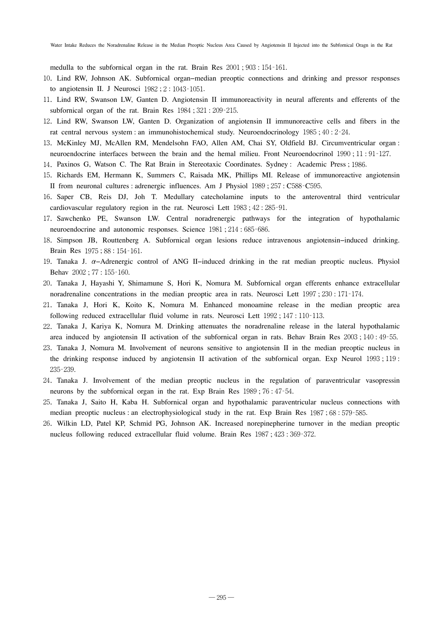medulla to the subfornical organ in the rat. Brain Res 2001;903:154‐161.

- 10.Lind RW, Johnson AK. Subfornical organ−median preoptic connections and drinking and pressor responses to angiotensin II. J Neurosci 1982;2:1043‐1051.
- 11.Lind RW, Swanson LW, Ganten D. Angiotensin II immunoreactivity in neural afferents and efferents of the subfornical organ of the rat. Brain Res 1984; 321: 209-215.
- 12.Lind RW, Swanson LW, Ganten D. Organization of angiotensin II immunoreactive cells and fibers in the rat central nervous system : an immunohistochemical study. Neuroendocrinology 1985; 40: 2-24.
- 13.McKinley MJ, McAllen RM, Mendelsohn FAO, Allen AM, Chai SY, Oldfield BJ. Circumventricular organ : neuroendocrine interfaces between the brain and the hemal milieu. Front Neuroendocrinol 1990;11:91-127.
- 14.Paxinos G, Watson C. The Rat Brain in Stereotaxic Coordinates. Sydney : Academic Press ;1986.
- 15.Richards EM, Hermann K, Summers C, Raisada MK, Phillips MI. Release of immunoreactive angiotensin II from neuronal cultures : adrenergic influences. Am J Physiol 1989;257: C588‐C595.
- 16.Saper CB, Reis DJ, Joh T. Medullary catecholamine inputs to the anteroventral third ventricular cardiovascular regulatory region in the rat. Neurosci Lett 1983; 42: 285-91.
- 17.Sawchenko PE, Swanson LW. Central noradrenergic pathways for the integration of hypothalamic neuroendocrine and autonomic responses. Science 1981; 214: 685-686.
- 18.Simpson JB, Routtenberg A. Subfornical organ lesions reduce intravenous angiotensin−induced drinking. Brain Res 1975;88:154‐161.
- 19.Tanaka J. α−Adrenergic control of ANG II−induced drinking in the rat median preoptic nucleus. Physiol Behav 2002;77:155‐160.
- 20.Tanaka J, Hayashi Y, Shimamune S, Hori K, Nomura M. Subfornical organ efferents enhance extracellular noradrenaline concentrations in the median preoptic area in rats. Neurosci Lett 1997; 230:171-174.
- 21.Tanaka J, Hori K, Koito K, Nomura M. Enhanced monoamine release in the median preoptic area following reduced extracellular fluid volume in rats. Neurosci Lett 1992;147:110‐113.
- 22.Tanaka J, Kariya K, Nomura M. Drinking attenuates the noradrenaline release in the lateral hypothalamic area induced by angiotensin II activation of the subfornical organ in rats. Behav Brain Res 2003;140:49‐55.
- 23.Tanaka J, Nomura M. Involvement of neurons sensitive to angiotensin II in the median preoptic nucleus in the drinking response induced by angiotensin II activation of the subfornical organ. Exp Neurol 1993;119: 235‐239.
- 24.Tanaka J. Involvement of the median preoptic nucleus in the regulation of paraventricular vasopressin neurons by the subfornical organ in the rat. Exp Brain Res 1989;76:47‐54.
- 25.Tanaka J, Saito H, Kaba H. Subfornical organ and hypothalamic paraventricular nucleus connections with median preoptic nucleus : an electrophysiological study in the rat. Exp Brain Res 1987;68:579-585.
- 26.Wilkin LD, Patel KP, Schmid PG, Johnson AK. Increased norepinepherine turnover in the median preoptic nucleus following reduced extracellular fluid volume. Brain Res 1987;423:369-372.